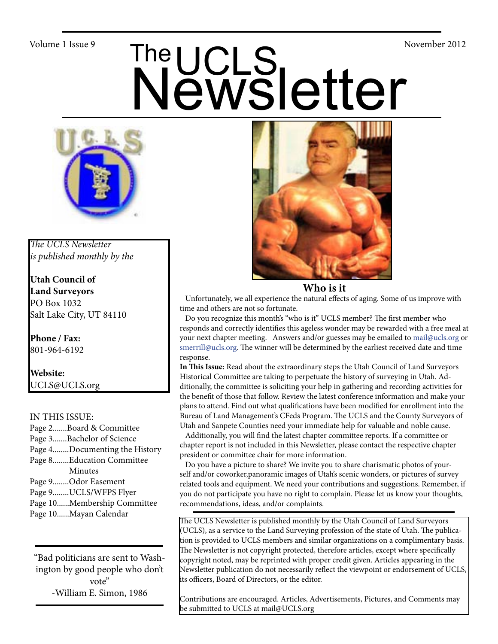# Volume 1 Issue 9<br>
Newsletter



*The UCLS Newsletter is published monthly by the*

**Utah Council of Land Surveyors** PO Box 1032 Salt Lake City, UT 84110

**Phone / Fax:**  801-964-6192

**Website:** UCLS@UCLS.org

#### IN THIS ISSUE:

- Page 2.......Board & Committee Page 3.......Bachelor of Science Page 4........Documenting the History Page 8........Education Committee Minutes Page 9........Odor Easement
- Page 9........UCLS/WFPS Flyer
- Page 10......Membership Committee
- Page 10......Mayan Calendar

"Bad politicians are sent to Washington by good people who don't vote" -William E. Simon, 1986



#### **Who is it**

 Unfortunately, we all experience the natural effects of aging. Some of us improve with time and others are not so fortunate.

 Do you recognize this month's "who is it" UCLS member? The first member who responds and correctly identifies this ageless wonder may be rewarded with a free meal at your next chapter meeting. Answers and/or guesses may be emailed to mail@ucls.org or smerrill@ucls.org. The winner will be determined by the earliest received date and time response.

**In This Issue:** Read about the extraordinary steps the Utah Council of Land Surveyors Historical Committee are taking to perpetuate the history of surveying in Utah. Additionally, the committee is soliciting your help in gathering and recording activities for the benefit of those that follow. Review the latest conference information and make your plans to attend. Find out what qualifications have been modified for enrollment into the Bureau of Land Management's CFeds Program. The UCLS and the County Surveyors of Utah and Sanpete Counties need your immediate help for valuable and noble cause.

 Additionally, you will find the latest chapter committee reports. If a committee or chapter report is not included in this Newsletter, please contact the respective chapter president or committee chair for more information.

 Do you have a picture to share? We invite you to share charismatic photos of yourself and/or coworker,panoramic images of Utah's scenic wonders, or pictures of survey related tools and equipment. We need your contributions and suggestions. Remember, if you do not participate you have no right to complain. Please let us know your thoughts, recommendations, ideas, and/or complaints.

The UCLS Newsletter is published monthly by the Utah Council of Land Surveyors (UCLS), as a service to the Land Surveying profession of the state of Utah. The publication is provided to UCLS members and similar organizations on a complimentary basis. The Newsletter is not copyright protected, therefore articles, except where specifically copyright noted, may be reprinted with proper credit given. Articles appearing in the Newsletter publication do not necessarily reflect the viewpoint or endorsement of UCLS, its officers, Board of Directors, or the editor.

Contributions are encouraged. Articles, Advertisements, Pictures, and Comments may be submitted to UCLS at mail@UCLS.org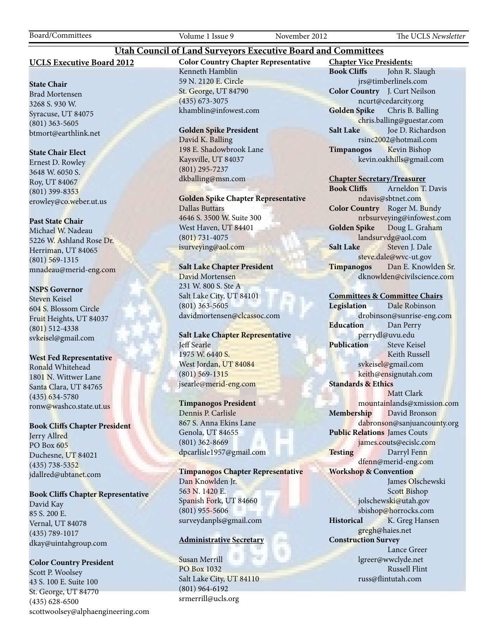#### **UCLS Executive Board 2012**

#### **State Chair**

Brad Mortensen 3268 S. 930 W. Syracuse, UT 84075 (801) 363-5605 btmort@earthlink.net

#### **State Chair Elect**

Ernest D. Rowley 3648 W. 6050 S. Roy, UT 84067 (801) 399-8353 erowley@co.weber.ut.us

#### **Past State Chair**

Michael W. Nadeau 5226 W. Ashland Rose Dr. Herriman, UT 84065 (801) 569-1315 mnadeau@merid-eng.com

#### **NSPS Governor**

Steven Keisel 604 S. Blossom Circle Fruit Heights, UT 84037 (801) 512-4338 svkeisel@gmail.com

#### **West Fed Representative**

Ronald Whitehead 1801 N. Wittwer Lane Santa Clara, UT 84765 (435) 634-5780 ronw@washco.state.ut.us

#### **Book Cliffs Chapter President**

Jerry Allred PO Box 605 Duchesne, UT 84021 (435) 738-5352 jdallred@ubtanet.com

#### **Book Cliffs Chapter Representative**

David Kay 85 S. 200 E. Vernal, UT 84078 (435) 789-1017 dkay@uintahgroup.com

#### **Color Country President**

Scott P. Woolsey 43 S. 100 E. Suite 100 St. George, UT 84770 (435) 628-6500 scottwoolsey@alphaengineering.com **Color Country Chapter Representative** Kenneth Hamblin 59 N. 2120 E. Circle St. George, UT 84790 (435) 673-3075 khamblin@infowest.com

**Utah Council of Land Surveyors Executive Board and Committees**

#### **Golden Spike President**

David K. Balling 198 E. Shadowbrook Lane Kaysville, UT 84037 (801) 295-7237 dkballing@msn.com

**Golden Spike Chapter Representative** Dallas Buttars 4646 S. 3500 W. Suite 300 West Haven, UT 84401

(801) 731-4075 isurveying@aol.com

#### **Salt Lake Chapter President**

David Mortensen 231 W. 800 S. Ste A Salt Lake City, UT 84101 (801) 363-5605 davidmortensen@clcassoc.com

#### **Salt Lake Chapter Representative** Jeff Searle 1975 W. 6440 S. West Jordan, UT 84084 (801) 569-1315 jsearle@merid-eng.com

#### **Timpanogos President**

Dennis P. Carlisle 867 S. Anna Ekins Lane Genola, UT 84655 (801) 362-8669 dpcarlisle1957@gmail.com

**Timpanogos Chapter Representative** Dan Knowlden Jr. 563 N. 1420 E. Spanish Fork, UT 84660 (801) 955-5606 surveydanpls@gmail.com

#### **Administrative Secretary**

Susan Merrill PO Box 1032 Salt Lake City, UT 84110 (801) 964-6192 srmerrill@ucls.org

**Chapter Vice Presidents: Book Cliffs** John R. Slaugh jrs@timberlinels.com **Color Country** J. Curt Neilson ncurt@cedarcity.org **Golden Spike** Chris B. Balling chris.balling@guestar.com **Salt Lake** Joe D. Richardson rsinc2002@hotmail.com **Timpanogos** Kevin Bishop kevin.oakhills@gmail.com

#### **Chapter Secretary/Treasurer**

**Book Cliffs** Arneldon T. Davis ndavis@sbtnet.com **Color Country** Roger M. Bundy nrbsurveying@infowest.com **Golden Spike** Doug L. Graham landsurvdg@aol.com **Salt Lake** Steven J. Dale steve.dale@wvc-ut.gov **Timpanogos** Dan E. Knowlden Sr. dknowlden@civilscience.com

#### **Committees & Committee Chairs**

**Legislation** Dale Robinson drobinson@sunrise-eng.com **Education** Dan Perry perrydl@uvu.edu **Publication** Steve Keisel Keith Russell svkeisel@gmail.com keith@ensignutah.com **Standards & Ethics** Matt Clark mountainlands@xmission.com **Membership** David Bronson dabronson@sanjuancounty.org **Public Relations** James Couts james.couts@ecislc.com Testing Darryl Fenn dfenn@merid-eng.com **Workshop & Convention** James Olschewski Scott Bishop jolschewski@utah.gov sbishop@horrocks.com **Historical** K. Greg Hansen gregh@haies.net **Construction Survey** Lance Greer lgreer@wwclyde.net Russell Flint russ@flintutah.com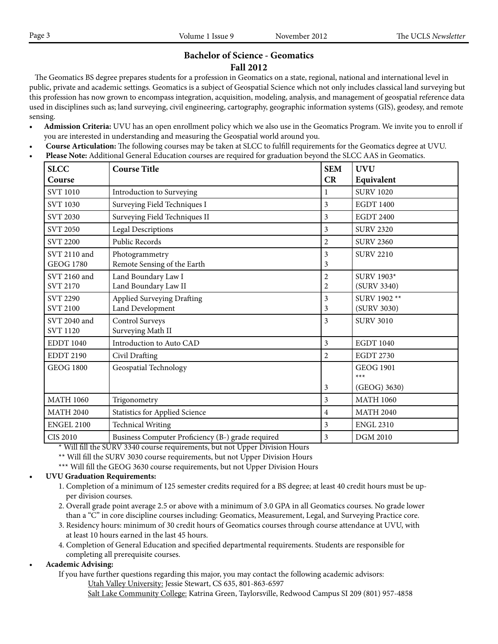#### **Bachelor of Science - Geomatics Fall 2012**

 The Geomatics BS degree prepares students for a profession in Geomatics on a state, regional, national and international level in public, private and academic settings. Geomatics is a subject of Geospatial Science which not only includes classical land surveying but this profession has now grown to encompass integration, acquisition, modeling, analysis, and management of geospatial reference data used in disciplines such as; land surveying, civil engineering, cartography, geographic information systems (GIS), geodesy, and remote sensing.

- **• Admission Criteria:** UVU has an open enrollment policy which we also use in the Geomatics Program. We invite you to enroll if you are interested in understanding and measuring the Geospatial world around you.
- • **Course Articulation:** The following courses may be taken at SLCC to fulfill requirements for the Geomatics degree at UVU.
- **Please Note:** Additional General Education courses are required for graduation beyond the SLCC AAS in Geomatics.

| <b>SLCC</b>                        | <b>Course Title</b>                               | <b>SEM</b>     | <b>UVU</b>                  |
|------------------------------------|---------------------------------------------------|----------------|-----------------------------|
| Course                             |                                                   | CR             | Equivalent                  |
| <b>SVT 1010</b>                    | Introduction to Surveying                         |                | <b>SURV 1020</b>            |
| <b>SVT 1030</b>                    | Surveying Field Techniques I                      | 3              | <b>EGDT 1400</b>            |
| <b>SVT 2030</b>                    | Surveying Field Techniques II                     | 3              | <b>EGDT 2400</b>            |
| <b>SVT 2050</b>                    | <b>Legal Descriptions</b>                         | 3              | <b>SURV 2320</b>            |
| <b>SVT 2200</b>                    | Public Records                                    | 2              | <b>SURV 2360</b>            |
| SVT 2110 and<br><b>GEOG 1780</b>   | Photogrammetry<br>Remote Sensing of the Earth     | 3<br>3         | <b>SURV 2210</b>            |
| SVT 2160 and<br><b>SVT 2170</b>    | Land Boundary Law I<br>Land Boundary Law II       | 2<br>2         | SURV 1903*<br>(SURV 3340)   |
| <b>SVT 2290</b><br><b>SVT 2100</b> | Applied Surveying Drafting<br>Land Development    | 3<br>3         | SURV 1902 **<br>(SURV 3030) |
| SVT 2040 and<br><b>SVT 1120</b>    | Control Surveys<br>Surveying Math II              | 3              | <b>SURV 3010</b>            |
| <b>EDDT 1040</b>                   | Introduction to Auto CAD                          | 3              | <b>EGDT 1040</b>            |
| <b>EDDT 2190</b>                   | Civil Drafting                                    | $\overline{2}$ | <b>EGDT 2730</b>            |
| <b>GEOG 1800</b>                   | Geospatial Technology                             |                | <b>GEOG 1901</b><br>$***$   |
|                                    |                                                   | 3              | (GEOG) 3630)                |
| <b>MATH 1060</b>                   | Trigonometry                                      | 3              | <b>MATH 1060</b>            |
| <b>MATH 2040</b>                   | <b>Statistics for Applied Science</b>             | 4              | <b>MATH 2040</b>            |
| <b>ENGEL 2100</b>                  | <b>Technical Writing</b>                          | 3              | <b>ENGL 2310</b>            |
| <b>CIS 2010</b>                    | Business Computer Proficiency (B-) grade required | 3              | <b>DGM 2010</b>             |

\* Will fill the SURV 3340 course requirements, but not Upper Division Hours

- \*\* Will fill the SURV 3030 course requirements, but not Upper Division Hours
- \*\*\* Will fill the GEOG 3630 course requirements, but not Upper Division Hours

#### **• UVU Graduation Requirements:**

- 1. Completion of a minimum of 125 semester credits required for a BS degree; at least 40 credit hours must be up per division courses.
- 2. Overall grade point average 2.5 or above with a minimum of 3.0 GPA in all Geomatics courses. No grade lower than a "C" in core discipline courses including: Geomatics, Measurement, Legal, and Surveying Practice core.
- 3. Residency hours: minimum of 30 credit hours of Geomatics courses through course attendance at UVU, with at least 10 hours earned in the last 45 hours.
- 4. Completion of General Education and specified departmental requirements. Students are responsible for completing all prerequisite courses.

#### • **Academic Advising:**

If you have further questions regarding this major, you may contact the following academic advisors: Utah Valley University: Jessie Stewart, CS 635, 801-863-6597

Salt Lake Community College: Katrina Green, Taylorsville, Redwood Campus SI 209 (801) 957-4858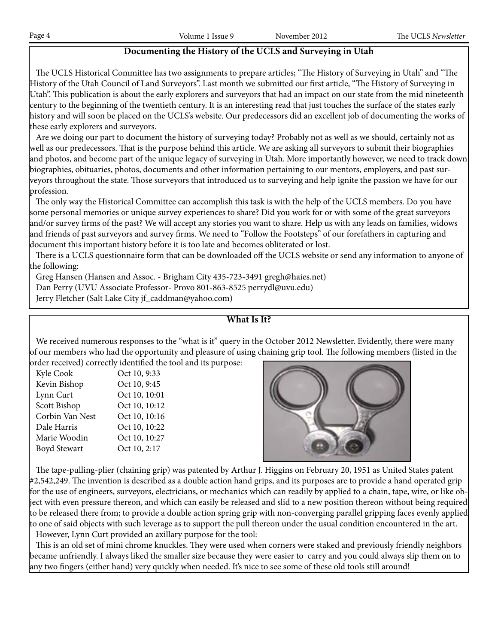#### **Documenting the History of the UCLS and Surveying in Utah**

 The UCLS Historical Committee has two assignments to prepare articles; "The History of Surveying in Utah" and "The History of the Utah Council of Land Surveyors". Last month we submitted our first article, "The History of Surveying in Utah". This publication is about the early explorers and surveyors that had an impact on our state from the mid nineteenth century to the beginning of the twentieth century. It is an interesting read that just touches the surface of the states early history and will soon be placed on the UCLS's website. Our predecessors did an excellent job of documenting the works of these early explorers and surveyors.

 Are we doing our part to document the history of surveying today? Probably not as well as we should, certainly not as well as our predecessors. That is the purpose behind this article. We are asking all surveyors to submit their biographies and photos, and become part of the unique legacy of surveying in Utah. More importantly however, we need to track down biographies, obituaries, photos, documents and other information pertaining to our mentors, employers, and past surveyors throughout the state. Those surveyors that introduced us to surveying and help ignite the passion we have for our profession.

 The only way the Historical Committee can accomplish this task is with the help of the UCLS members. Do you have some personal memories or unique survey experiences to share? Did you work for or with some of the great surveyors and/or survey firms of the past? We will accept any stories you want to share. Help us with any leads on families, widows and friends of past surveyors and survey firms. We need to "Follow the Footsteps" of our forefathers in capturing and document this important history before it is too late and becomes obliterated or lost.

 There is a UCLS questionnaire form that can be downloaded off the UCLS website or send any information to anyone of the following:

Greg Hansen (Hansen and Assoc. - Brigham City 435-723-3491 gregh@haies.net)

Dan Perry (UVU Associate Professor- Provo 801-863-8525 perrydl@uvu.edu)

Jerry Fletcher (Salt Lake City jf\_caddman@yahoo.com)

#### **What Is It?**

We received numerous responses to the "what is it" query in the October 2012 Newsletter. Evidently, there were many of our members who had the opportunity and pleasure of using chaining grip tool. The following members (listed in the

order received) correctly identified the tool and its purpose:

| Kyle Cook           | Oct 10, 9:33  |
|---------------------|---------------|
| Kevin Bishop        | Oct 10, 9:45  |
| Lynn Curt           | Oct 10, 10:01 |
| Scott Bishop        | Oct 10, 10:12 |
| Corbin Van Nest     | Oct 10, 10:16 |
| Dale Harris         | Oct 10, 10:22 |
| Marie Woodin        | Oct 10, 10:27 |
| <b>Boyd Stewart</b> | Oct 10, 2:17  |
|                     |               |



 The tape-pulling-plier (chaining grip) was patented by Arthur J. Higgins on February 20, 1951 as United States patent #2,542,249. The invention is described as a double action hand grips, and its purposes are to provide a hand operated grip for the use of engineers, surveyors, electricians, or mechanics which can readily by applied to a chain, tape, wire, or like object with even pressure thereon, and which can easily be released and slid to a new position thereon without being required to be released there from; to provide a double action spring grip with non-converging parallel gripping faces evenly applied to one of said objects with such leverage as to support the pull thereon under the usual condition encountered in the art. However, Lynn Curt provided an axillary purpose for the tool:

 This is an old set of mini chrome knuckles. They were used when corners were staked and previously friendly neighbors became unfriendly. I always liked the smaller size because they were easier to carry and you could always slip them on to any two fingers (either hand) very quickly when needed. It's nice to see some of these old tools still around!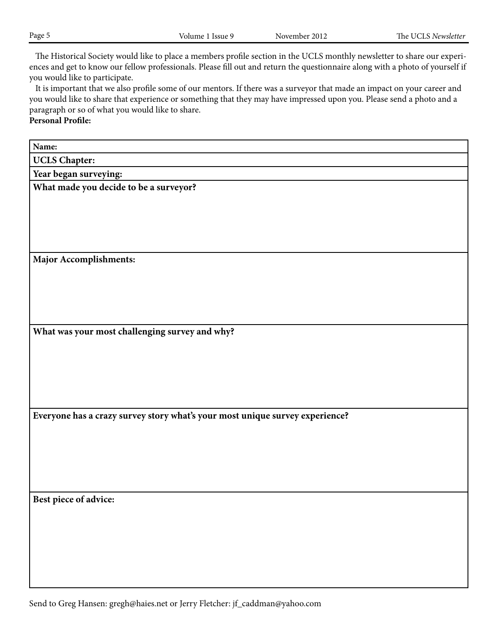The Historical Society would like to place a members profile section in the UCLS monthly newsletter to share our experiences and get to know our fellow professionals. Please fill out and return the questionnaire along with a photo of yourself if you would like to participate.

 It is important that we also profile some of our mentors. If there was a surveyor that made an impact on your career and you would like to share that experience or something that they may have impressed upon you. Please send a photo and a paragraph or so of what you would like to share.

**Personal Profile:**

**Name: UCLS Chapter: Year began surveying: What made you decide to be a surveyor? Major Accomplishments: What was your most challenging survey and why? Everyone has a crazy survey story what's your most unique survey experience? Best piece of advice:**

Send to Greg Hansen: gregh@haies.net or Jerry Fletcher: jf\_caddman@yahoo.com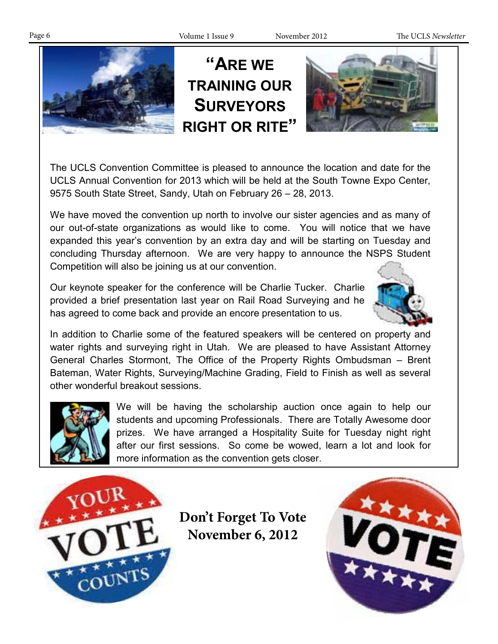Page 6 Volume 1 Issue 9 November 2012 The UCLS *Newsletter*



The UCLS Convention Committee is pleased to announce the location and date for the UCLS Annual Convention for 2013 which will be held at the South Towne Expo Center, 9575 South State Street, Sandy, Utah on February 26 – 28, 2013.

We have moved the convention up north to involve our sister agencies and as many of our out-of-state organizations as would like to come. You will notice that we have expanded this year's convention by an extra day and will be starting on Tuesday and concluding Thursday afternoon. We are very happy to announce the NSPS Student Competition will also be joining us at our convention.

Our keynote speaker for the conference will be Charlie Tucker. Charlie provided a brief presentation last year on Rail Road Surveying and he has agreed to come back and provide an encore presentation to us.



In addition to Charlie some of the featured speakers will be centered on property and water rights and surveying right in Utah. We are pleased to have Assistant Attorney General Charles Stormont, The Office of the Property Rights Ombudsman – Brent Bateman, Water Rights, Surveying/Machine Grading, Field to Finish as well as several other wonderful breakout sessions.



We will be having the scholarship auction once again to help our students and upcoming Professionals. There are Totally Awesome door prizes. We have arranged a Hospitality Suite for Tuesday night right after our first sessions. So come be wowed, learn a lot and look for more information as the convention gets closer.



**Don't Forget To Vote November 6, 2012**

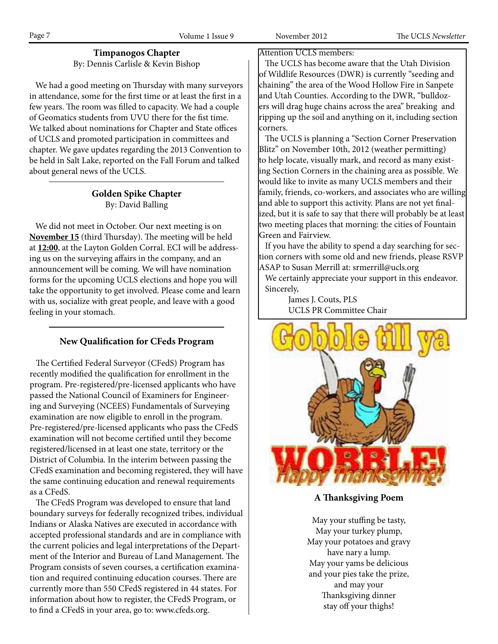## **Timpanogos Chapter**

By: Dennis Carlisle & Kevin Bishop

 We had a good meeting on Thursday with many surveyors in attendance, some for the first time or at least the first in a few years. The room was filled to capacity. We had a couple of Geomatics students from UVU there for the fist time. We talked about nominations for Chapter and State offices of UCLS and promoted participation in committees and chapter. We gave updates regarding the 2013 Convention to be held in Salt Lake, reported on the Fall Forum and talked about general news of the UCLS.

#### **Golden Spike Chapter** By: David Balling

 We did not meet in October. Our next meeting is on **November 15** (third Thursday). The meeting will be held at **12:00**, at the Layton Golden Corral. ECI will be addressing us on the surveying affairs in the company, and an announcement will be coming. We will have nomination forms for the upcoming UCLS elections and hope you will take the opportunity to get involved. Please come and learn with us, socialize with great people, and leave with a good feeling in your stomach.

#### **New Qualification for CFeds Program**

 The Certified Federal Surveyor (CFedS) Program has recently modified the qualification for enrollment in the program. Pre-registered/pre-licensed applicants who have passed the National Council of Examiners for Engineering and Surveying (NCEES) Fundamentals of Surveying examination are now eligible to enroll in the program. Pre-registered/pre-licensed applicants who pass the CFedS examination will not become certified until they become registered/licensed in at least one state, territory or the District of Columbia. In the interim between passing the CFedS examination and becoming registered, they will have the same continuing education and renewal requirements as a CFedS.

 The CFedS Program was developed to ensure that land boundary surveys for federally recognized tribes, individual Indians or Alaska Natives are executed in accordance with accepted professional standards and are in compliance with the current policies and legal interpretations of the Department of the Interior and Bureau of Land Management. The Program consists of seven courses, a certification examination and required continuing education courses. There are currently more than 550 CFedS registered in 44 states. For information about how to register, the CFedS Program, or to find a CFedS in your area, go to: www.cfeds.org.

Attention UCLS members:

 The UCLS has become aware that the Utah Division of Wildlife Resources (DWR) is currently "seeding and chaining" the area of the Wood Hollow Fire in Sanpete and Utah Counties. According to the DWR, "bulldozers will drag huge chains across the area" breaking and ripping up the soil and anything on it, including section corners.

 The UCLS is planning a "Section Corner Preservation Blitz" on November 10th, 2012 (weather permitting) to help locate, visually mark, and record as many existing Section Corners in the chaining area as possible. We would like to invite as many UCLS members and their family, friends, co-workers, and associates who are willing and able to support this activity. Plans are not yet finalized, but it is safe to say that there will probably be at least two meeting places that morning: the cities of Fountain Green and Fairview.

 If you have the ability to spend a day searching for section corners with some old and new friends, please RSVP ASAP to Susan Merrill at: srmerrill@ucls.org

 We certainly appreciate your support in this endeavor. Sincerely,

> James J. Couts, PLS UCLS PR Committee Chair



**A Thanksgiving Poem**

May your stuffing be tasty, May your turkey plump, May your potatoes and gravy have nary a lump. May your yams be delicious and your pies take the prize, and may your Thanksgiving dinner stay off your thighs!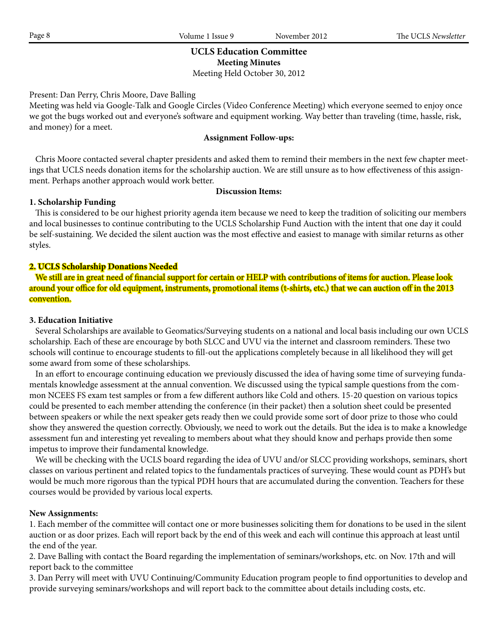#### **UCLS Education Committee Meeting Minutes** Meeting Held October 30, 2012

Present: Dan Perry, Chris Moore, Dave Balling

Meeting was held via Google-Talk and Google Circles (Video Conference Meeting) which everyone seemed to enjoy once we got the bugs worked out and everyone's software and equipment working. Way better than traveling (time, hassle, risk, and money) for a meet.

#### **Assignment Follow-ups:**

 Chris Moore contacted several chapter presidents and asked them to remind their members in the next few chapter meetings that UCLS needs donation items for the scholarship auction. We are still unsure as to how effectiveness of this assignment. Perhaps another approach would work better.

#### **Discussion Items:**

#### **1. Scholarship Funding**

 This is considered to be our highest priority agenda item because we need to keep the tradition of soliciting our members and local businesses to continue contributing to the UCLS Scholarship Fund Auction with the intent that one day it could be self-sustaining. We decided the silent auction was the most effective and easiest to manage with similar returns as other styles.

#### **2. UCLS Scholarship Donations Needed**

 We still are in great need of financial support for certain or HELP with contributions of items for auction. Please look around your office for old equipment, instruments, promotional items (t-shirts, etc.) that we can auction off in the 2013 convention.

#### **3. Education Initiative**

 Several Scholarships are available to Geomatics/Surveying students on a national and local basis including our own UCLS scholarship. Each of these are encourage by both SLCC and UVU via the internet and classroom reminders. These two schools will continue to encourage students to fill-out the applications completely because in all likelihood they will get some award from some of these scholarships.

 In an effort to encourage continuing education we previously discussed the idea of having some time of surveying fundamentals knowledge assessment at the annual convention. We discussed using the typical sample questions from the common NCEES FS exam test samples or from a few different authors like Cold and others. 15-20 question on various topics could be presented to each member attending the conference (in their packet) then a solution sheet could be presented between speakers or while the next speaker gets ready then we could provide some sort of door prize to those who could show they answered the question correctly. Obviously, we need to work out the details. But the idea is to make a knowledge assessment fun and interesting yet revealing to members about what they should know and perhaps provide then some impetus to improve their fundamental knowledge.

 We will be checking with the UCLS board regarding the idea of UVU and/or SLCC providing workshops, seminars, short classes on various pertinent and related topics to the fundamentals practices of surveying. These would count as PDH's but would be much more rigorous than the typical PDH hours that are accumulated during the convention. Teachers for these courses would be provided by various local experts.

#### **New Assignments:**

1. Each member of the committee will contact one or more businesses soliciting them for donations to be used in the silent auction or as door prizes. Each will report back by the end of this week and each will continue this approach at least until the end of the year.

2. Dave Balling with contact the Board regarding the implementation of seminars/workshops, etc. on Nov. 17th and will report back to the committee

3. Dan Perry will meet with UVU Continuing/Community Education program people to find opportunities to develop and provide surveying seminars/workshops and will report back to the committee about details including costs, etc.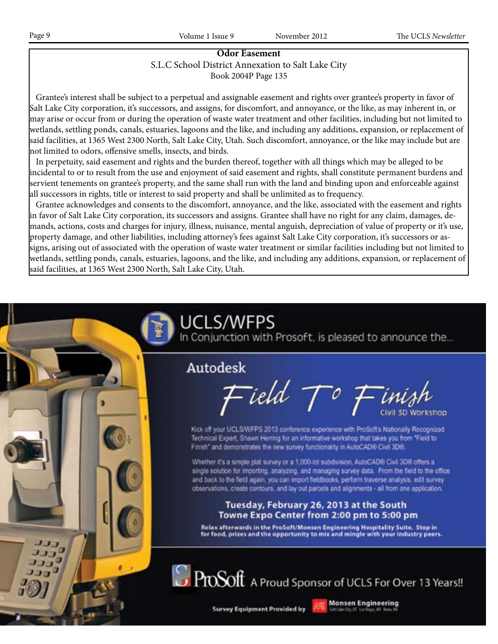#### **Odor Easement** S.L.C School District Annexation to Salt Lake City Book 2004P Page 135

 Grantee's interest shall be subject to a perpetual and assignable easement and rights over grantee's property in favor of Salt Lake City corporation, it's successors, and assigns, for discomfort, and annoyance, or the like, as may inherent in, or may arise or occur from or during the operation of waste water treatment and other facilities, including but not limited to wetlands, settling ponds, canals, estuaries, lagoons and the like, and including any additions, expansion, or replacement of said facilities, at 1365 West 2300 North, Salt Lake City, Utah. Such discomfort, annoyance, or the like may include but are not limited to odors, offensive smells, insects, and birds.

 In perpetuity, said easement and rights and the burden thereof, together with all things which may be alleged to be incidental to or to result from the use and enjoyment of said easement and rights, shall constitute permanent burdens and servient tenements on grantee's property, and the same shall run with the land and binding upon and enforceable against all successors in rights, title or interest to said property and shall be unlimited as to frequency.

 Grantee acknowledges and consents to the discomfort, annoyance, and the like, associated with the easement and rights in favor of Salt Lake City corporation, its successors and assigns. Grantee shall have no right for any claim, damages, demands, actions, costs and charges for injury, illness, nuisance, mental anguish, depreciation of value of property or it's use, property damage, and other liabilities, including attorney's fees against Salt Lake City corporation, it's successors or assigns, arising out of associated with the operation of waste water treatment or similar facilities including but not limited to wetlands, settling ponds, canals, estuaries, lagoons, and the like, and including any additions, expansion, or replacement of said facilities, at 1365 West 2300 North, Salt Lake City, Utah.

# UCLS/WFPS In Conjunction with Prosoft, is pleased to announce the... Autodesk Field  $\mathcal{T}^o$  Finis Kick off your UCLS/WFPS 2013 conference experience with ProSoft's Nationally Recognized Technical Expert, Shawn Herring for an informative workshop that takes you from "Field to Finish" and demonstrates the new survey functionality in AutoCAD® Civil 3D®. Whether it's a simple plat survey or a 1,000-lot subdivision, AutoCAD® Civil 3D® offers a single solution for importing, analyzing, and managing survey data. From the field to the office and back to the field again, you can import fieldbooks, perform traverse analysis, edit survey observations, create contours, and lay out parcels and alignments - all from one application. Tuesday, February 26, 2013 at the South Towne Expo Center from 2:00 pm to 5:00 pm Relax afterwards in the ProSoft/Monsen Engineering Hospitality Suite. Stop in for food, prizes and the opportunity to mix and mingle with your industry peers. ProSoft A Proud Sponsor of UCLS For Over 13 Years!! **Monsen Engineering Survey Equipment Provided by**